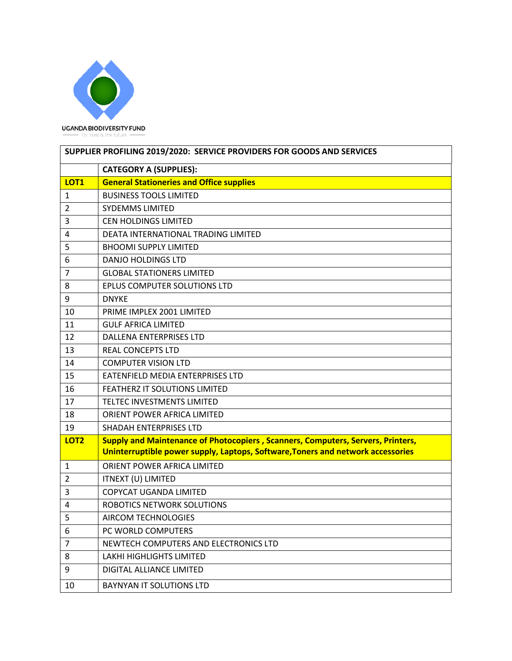

| SUPPLIER PROFILING 2019/2020: SERVICE PROVIDERS FOR GOODS AND SERVICES |                                                                                        |  |
|------------------------------------------------------------------------|----------------------------------------------------------------------------------------|--|
|                                                                        | <b>CATEGORY A (SUPPLIES):</b>                                                          |  |
| LOT <sub>1</sub>                                                       | <b>General Stationeries and Office supplies</b>                                        |  |
| $\mathbf{1}$                                                           | <b>BUSINESS TOOLS LIMITED</b>                                                          |  |
| $\overline{2}$                                                         | <b>SYDEMMS LIMITED</b>                                                                 |  |
| 3                                                                      | <b>CEN HOLDINGS LIMITED</b>                                                            |  |
| 4                                                                      | DEATA INTERNATIONAL TRADING LIMITED                                                    |  |
| 5                                                                      | <b>BHOOMI SUPPLY LIMITED</b>                                                           |  |
| 6                                                                      | <b>DANJO HOLDINGS LTD</b>                                                              |  |
| $\overline{7}$                                                         | <b>GLOBAL STATIONERS LIMITED</b>                                                       |  |
| 8                                                                      | EPLUS COMPUTER SOLUTIONS LTD                                                           |  |
| 9                                                                      | <b>DNYKE</b>                                                                           |  |
| 10                                                                     | PRIME IMPLEX 2001 LIMITED                                                              |  |
| 11                                                                     | <b>GULF AFRICA LIMITED</b>                                                             |  |
| 12                                                                     | <b>DALLENA ENTERPRISES LTD</b>                                                         |  |
| 13                                                                     | <b>REAL CONCEPTS LTD</b>                                                               |  |
| 14                                                                     | <b>COMPUTER VISION LTD</b>                                                             |  |
| 15                                                                     | EATENFIELD MEDIA ENTERPRISES LTD                                                       |  |
| 16                                                                     | FEATHERZ IT SOLUTIONS LIMITED                                                          |  |
| 17                                                                     | TELTEC INVESTMENTS LIMITED                                                             |  |
| 18                                                                     | ORIENT POWER AFRICA LIMITED                                                            |  |
| 19                                                                     | SHADAH ENTERPRISES LTD                                                                 |  |
| LOT <sub>2</sub>                                                       | <b>Supply and Maintenance of Photocopiers, Scanners, Computers, Servers, Printers,</b> |  |
|                                                                        | Uninterruptible power supply, Laptops, Software, Toners and network accessories        |  |
| $\mathbf{1}$                                                           | ORIENT POWER AFRICA LIMITED                                                            |  |
| 2                                                                      | ITNEXT (U) LIMITED                                                                     |  |
| 3                                                                      | COPYCAT UGANDA LIMITED                                                                 |  |
| $\overline{4}$                                                         | ROBOTICS NETWORK SOLUTIONS                                                             |  |
| 5                                                                      | AIRCOM TECHNOLOGIES                                                                    |  |
| 6                                                                      | PC WORLD COMPUTERS                                                                     |  |
| $\overline{7}$                                                         | NEWTECH COMPUTERS AND ELECTRONICS LTD                                                  |  |
| 8                                                                      | LAKHI HIGHLIGHTS LIMITED                                                               |  |
| 9                                                                      | DIGITAL ALLIANCE LIMITED                                                               |  |
| 10                                                                     | BAYNYAN IT SOLUTIONS LTD                                                               |  |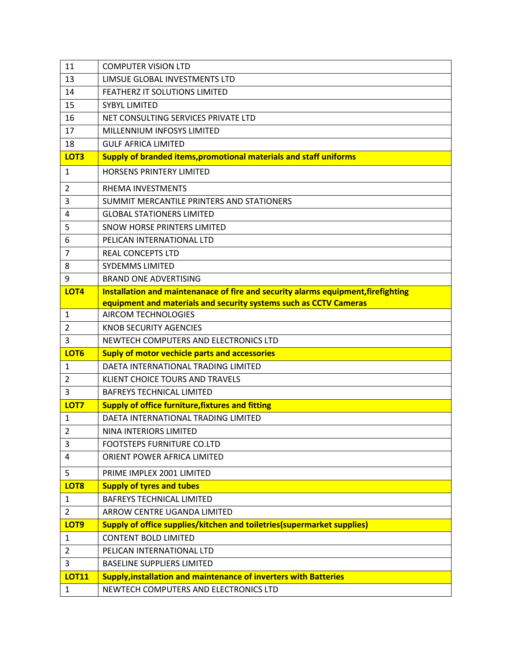| 11                               | <b>COMPUTER VISION LTD</b>                                                                  |
|----------------------------------|---------------------------------------------------------------------------------------------|
| 13                               | LIMSUE GLOBAL INVESTMENTS LTD                                                               |
| 14                               | FEATHERZ IT SOLUTIONS LIMITED                                                               |
| 15                               | <b>SYBYL LIMITED</b>                                                                        |
| 16                               | NET CONSULTING SERVICES PRIVATE LTD                                                         |
| 17                               | MILLENNIUM INFOSYS LIMITED                                                                  |
| 18                               | <b>GULF AFRICA LIMITED</b>                                                                  |
| LOT3                             | Supply of branded items, promotional materials and staff uniforms                           |
| $\mathbf{1}$                     | HORSENS PRINTERY LIMITED                                                                    |
| 2                                | RHEMA INVESTMENTS                                                                           |
| 3                                | SUMMIT MERCANTILE PRINTERS AND STATIONERS                                                   |
| 4                                | <b>GLOBAL STATIONERS LIMITED</b>                                                            |
| 5                                | SNOW HORSE PRINTERS LIMITED                                                                 |
| 6                                | PELICAN INTERNATIONAL LTD                                                                   |
| $\overline{7}$                   | <b>REAL CONCEPTS LTD</b>                                                                    |
| 8                                | <b>SYDEMMS LIMITED</b>                                                                      |
| 9                                | <b>BRAND ONE ADVERTISING</b>                                                                |
| LOT4                             | Installation and maintenanace of fire and security alarms equipment, firefighting           |
|                                  | equipment and materials and security systems such as CCTV Cameras                           |
| 1                                | <b>AIRCOM TECHNOLOGIES</b>                                                                  |
| $\overline{2}$                   | <b>KNOB SECURITY AGENCIES</b>                                                               |
| 3                                | NEWTECH COMPUTERS AND ELECTRONICS LTD                                                       |
| LOT <sub>6</sub><br>$\mathbf{1}$ | <b>Suply of motor vechicle parts and accessories</b><br>DAETA INTERNATIONAL TRADING LIMITED |
|                                  |                                                                                             |
| 2<br>3                           | KLIENT CHOICE TOURS AND TRAVELS                                                             |
| LOT7                             | <b>BAFREYS TECHNICAL LIMITED</b><br><b>Supply of office furniture, fixtures and fitting</b> |
| 1                                | DAETA INTERNATIONAL TRADING LIMITED                                                         |
| $\overline{2}$                   | NINA INTERIORS LIMITED                                                                      |
| 3                                | FOOTSTEPS FURNITURE CO.LTD                                                                  |
| 4                                | ORIENT POWER AFRICA LIMITED                                                                 |
| 5                                | PRIME IMPLEX 2001 LIMITED                                                                   |
| LOT8                             | <b>Supply of tyres and tubes</b>                                                            |
| $\mathbf{1}$                     | <b>BAFREYS TECHNICAL LIMITED</b>                                                            |
| $\overline{2}$                   | ARROW CENTRE UGANDA LIMITED                                                                 |
| LOT9                             | <b>Supply of office supplies/kitchen and toiletries (supermarket supplies)</b>              |
| $\mathbf{1}$                     | <b>CONTENT BOLD LIMITED</b>                                                                 |
| $\overline{2}$                   | PELICAN INTERNATIONAL LTD                                                                   |
| 3                                | <b>BASELINE SUPPLIERS LIMITED</b>                                                           |
| <b>LOT11</b>                     | <b>Supply, installation and maintenance of inverters with Batteries</b>                     |
| $\mathbf{1}$                     | NEWTECH COMPUTERS AND ELECTRONICS LTD                                                       |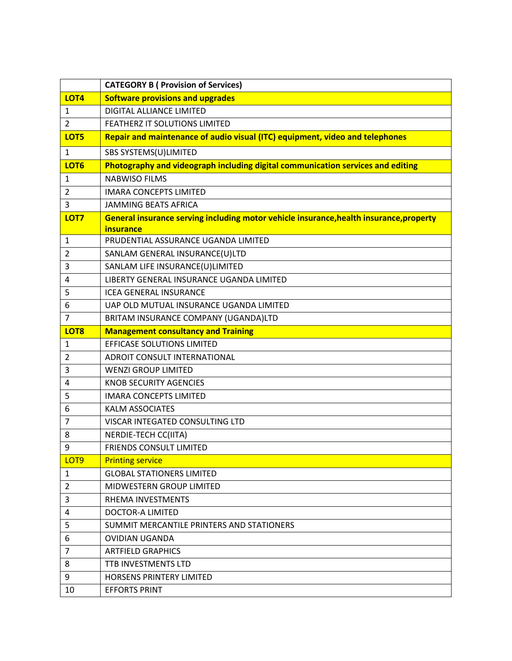|                  | <b>CATEGORY B ( Provision of Services)</b>                                              |
|------------------|-----------------------------------------------------------------------------------------|
| LOT4             | <b>Software provisions and upgrades</b>                                                 |
| 1                | <b>DIGITAL ALLIANCE LIMITED</b>                                                         |
| $\overline{2}$   | FEATHERZ IT SOLUTIONS LIMITED                                                           |
| LOT5             | Repair and maintenance of audio visual (ITC) equipment, video and telephones            |
| $\mathbf{1}$     | SBS SYSTEMS(U)LIMITED                                                                   |
| LOT <sub>6</sub> | Photography and videograph including digital communication services and editing         |
| 1                | <b>NABWISO FILMS</b>                                                                    |
| 2                | <b>IMARA CONCEPTS LIMITED</b>                                                           |
| 3                | <b>JAMMING BEATS AFRICA</b>                                                             |
| LOT7             | General insurance serving including motor vehicle insurance, health insurance, property |
|                  | insurance                                                                               |
| 1                | PRUDENTIAL ASSURANCE UGANDA LIMITED                                                     |
| 2                | SANLAM GENERAL INSURANCE(U)LTD                                                          |
| 3                | SANLAM LIFE INSURANCE(U)LIMITED                                                         |
| 4                | LIBERTY GENERAL INSURANCE UGANDA LIMITED                                                |
| 5                | <b>ICEA GENERAL INSURANCE</b>                                                           |
| 6                | UAP OLD MUTUAL INSURANCE UGANDA LIMITED                                                 |
| $\overline{7}$   | BRITAM INSURANCE COMPANY (UGANDA)LTD                                                    |
| LOT <sub>8</sub> | <b>Management consultancy and Training</b>                                              |
| 1                | EFFICASE SOLUTIONS LIMITED                                                              |
| $\overline{2}$   | ADROIT CONSULT INTERNATIONAL                                                            |
| 3                | <b>WENZI GROUP LIMITED</b>                                                              |
| 4                | <b>KNOB SECURITY AGENCIES</b>                                                           |
| 5                | <b>IMARA CONCEPTS LIMITED</b>                                                           |
| 6                | <b>KALM ASSOCIATES</b>                                                                  |
| 7                | VISCAR INTEGATED CONSULTING LTD                                                         |
| 8                | NERDIE-TECH CC(IITA)                                                                    |
| 9                | <b>FRIENDS CONSULT LIMITED</b>                                                          |
| LOT <sub>9</sub> | <b>Printing service</b>                                                                 |
| 1                | <b>GLOBAL STATIONERS LIMITED</b>                                                        |
| $\overline{2}$   | <b>MIDWESTERN GROUP LIMITED</b>                                                         |
| 3                | RHEMA INVESTMENTS                                                                       |
| 4                | <b>DOCTOR-A LIMITED</b>                                                                 |
| 5                | SUMMIT MERCANTILE PRINTERS AND STATIONERS                                               |
| 6                | <b>OVIDIAN UGANDA</b>                                                                   |
| 7                | <b>ARTFIELD GRAPHICS</b>                                                                |
| 8                | TTB INVESTMENTS LTD                                                                     |
| 9                | HORSENS PRINTERY LIMITED                                                                |
| 10               | <b>EFFORTS PRINT</b>                                                                    |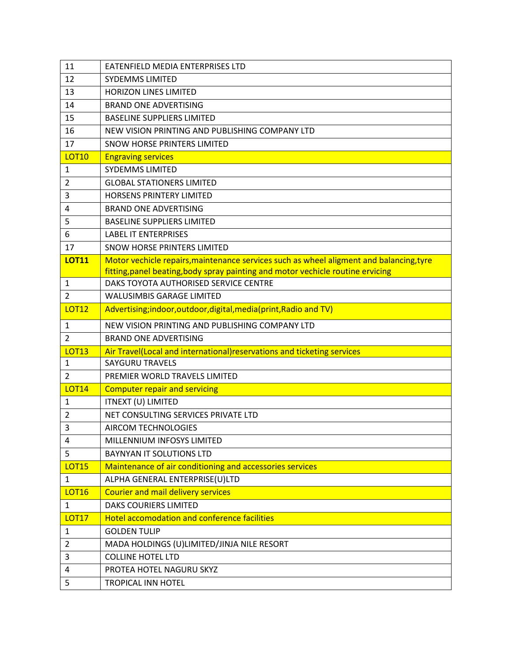| 11             | EATENFIELD MEDIA ENTERPRISES LTD                                                        |
|----------------|-----------------------------------------------------------------------------------------|
| 12             | <b>SYDEMMS LIMITED</b>                                                                  |
| 13             | <b>HORIZON LINES LIMITED</b>                                                            |
| 14             | <b>BRAND ONE ADVERTISING</b>                                                            |
| 15             | <b>BASELINE SUPPLIERS LIMITED</b>                                                       |
| 16             | NEW VISION PRINTING AND PUBLISHING COMPANY LTD                                          |
| 17             | SNOW HORSE PRINTERS LIMITED                                                             |
| <b>LOT10</b>   | <b>Engraving services</b>                                                               |
| 1              | <b>SYDEMMS LIMITED</b>                                                                  |
| $\overline{2}$ | <b>GLOBAL STATIONERS LIMITED</b>                                                        |
| 3              | <b>HORSENS PRINTERY LIMITED</b>                                                         |
| 4              | <b>BRAND ONE ADVERTISING</b>                                                            |
| 5              | <b>BASELINE SUPPLIERS LIMITED</b>                                                       |
| 6              | <b>LABEL IT ENTERPRISES</b>                                                             |
| 17             | SNOW HORSE PRINTERS LIMITED                                                             |
| <b>LOT11</b>   | Motor vechicle repairs, maintenance services such as wheel aligment and balancing, tyre |
|                | fitting, panel beating, body spray painting and motor vechicle routine ervicing         |
| 1              | DAKS TOYOTA AUTHORISED SERVICE CENTRE                                                   |
| $\overline{2}$ | <b>WALUSIMBIS GARAGE LIMITED</b>                                                        |
| <b>LOT12</b>   | Advertising;indoor, outdoor, digital, media(print, Radio and TV)                        |
| 1              | NEW VISION PRINTING AND PUBLISHING COMPANY LTD                                          |
| $\overline{2}$ | <b>BRAND ONE ADVERTISING</b>                                                            |
| <b>LOT13</b>   | Air Travel(Local and international) reservations and ticketing services                 |
| 1              | <b>SAYGURU TRAVELS</b>                                                                  |
| $\overline{2}$ | PREMIER WORLD TRAVELS LIMITED                                                           |
| <b>LOT14</b>   | <b>Computer repair and servicing</b>                                                    |
| $\mathbf 1$    | ITNEXT (U) LIMITED                                                                      |
| 2              | NET CONSULTING SERVICES PRIVATE LTD                                                     |
| 3              | <b>AIRCOM TECHNOLOGIES</b>                                                              |
| 4              | MILLENNIUM INFOSYS LIMITED                                                              |
| 5              | <b>BAYNYAN IT SOLUTIONS LTD</b>                                                         |
| <b>LOT15</b>   | Maintenance of air conditioning and accessories services                                |
| $\mathbf{1}$   | ALPHA GENERAL ENTERPRISE(U)LTD                                                          |
| <b>LOT16</b>   | <b>Courier and mail delivery services</b>                                               |
| $\mathbf{1}$   | DAKS COURIERS LIMITED                                                                   |
| <b>LOT17</b>   | <b>Hotel accomodation and conference facilities</b>                                     |
| 1              | <b>GOLDEN TULIP</b>                                                                     |
| $\overline{2}$ | MADA HOLDINGS (U)LIMITED/JINJA NILE RESORT                                              |
| 3              | <b>COLLINE HOTEL LTD</b>                                                                |
| 4              | PROTEA HOTEL NAGURU SKYZ                                                                |
| 5              | <b>TROPICAL INN HOTEL</b>                                                               |